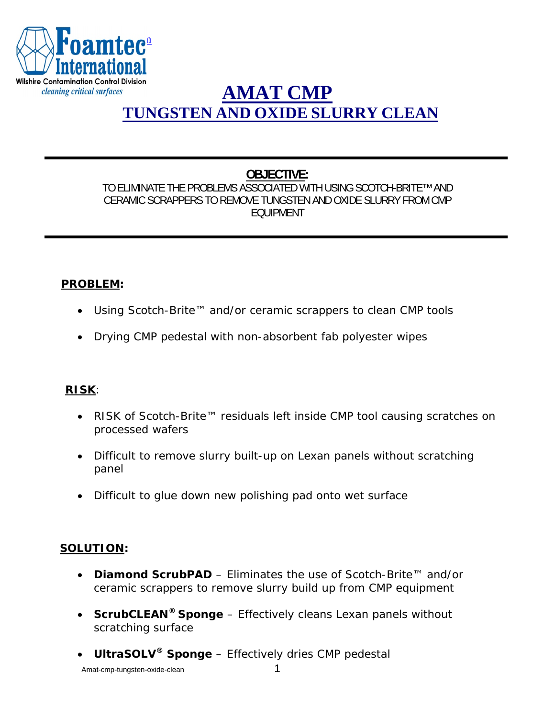

# Wilshire Contamination Control Division<br> *Cleaning critical surfaces*<br> **TUNGSTEN AND OXIDE SLURRY CLEAN**

#### **OBJECTIVE:**

#### TO ELIMINATE THE PROBLEMS ASSOCIATED WITH USING SCOTCH-BRITE™ AND CERAMIC SCRAPPERS TO REMOVE TUNGSTEN AND OXIDE SLURRY FROM CMP EQUIPMENT

#### **PROBLEM:**

- Using Scotch-Brite™ and/or ceramic scrappers to clean CMP tools
- Drying CMP pedestal with non-absorbent fab polyester wipes

#### **RISK**:

- RISK of Scotch-Brite™ residuals left inside CMP tool causing scratches on processed wafers
- Difficult to remove slurry built-up on Lexan panels without scratching panel
- Difficult to glue down new polishing pad onto wet surface

#### **SOLUTION:**

- **Diamond ScrubPAD** Eliminates the use of Scotch-Brite™ and/or ceramic scrappers to remove slurry build up from CMP equipment
- **ScrubCLEAN® Sponge** Effectively cleans Lexan panels without scratching surface
- **UltraSOLV® Sponge** Effectively dries CMP pedestal

Amat-cmp-tungsten-oxide-clean 1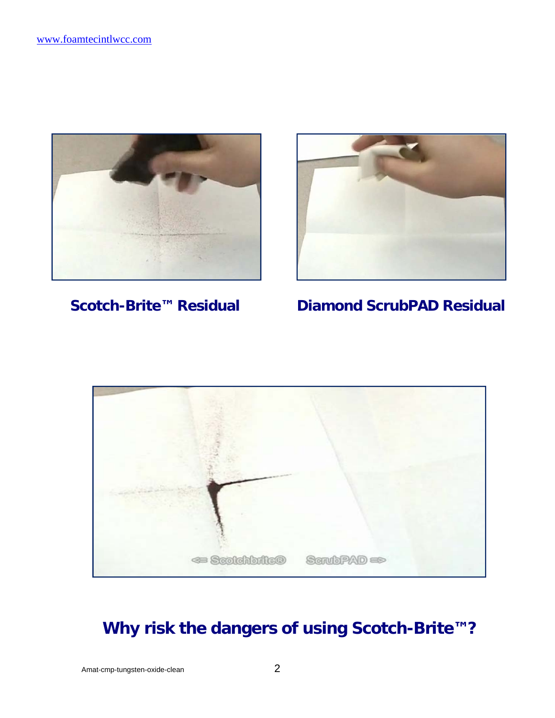



**Scotch-Brite™ Residual Diamond ScrubPAD Residual**



# **Why risk the dangers of using Scotch-Brite™?**

Amat-cmp-tungsten-oxide-clean 2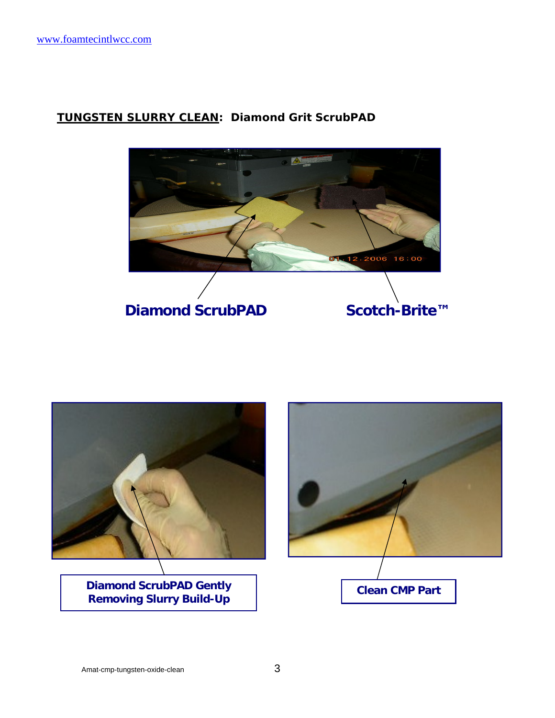## **TUNGSTEN SLURRY CLEAN: Diamond Grit ScrubPAD**



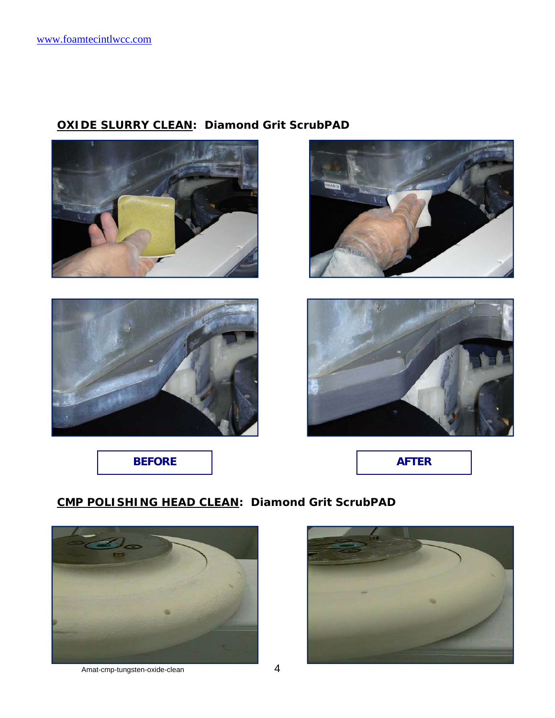#### **OXIDE SLURRY CLEAN: Diamond Grit ScrubPAD**













## **CMP POLISHING HEAD CLEAN: Diamond Grit ScrubPAD**